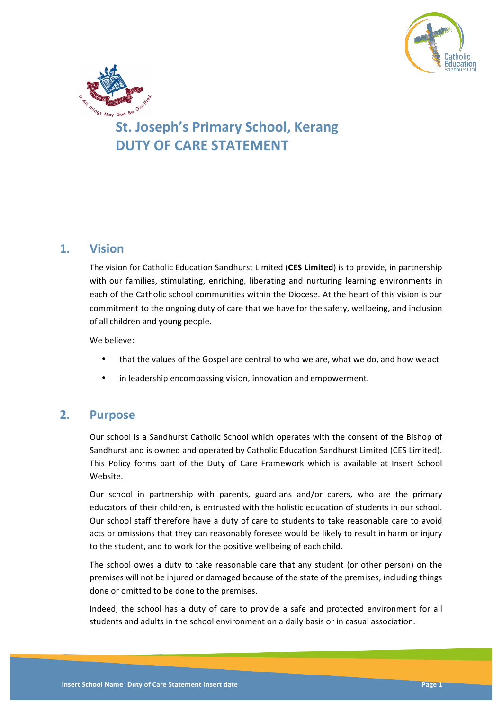



# **St. Joseph's Primary School, Kerang DUTY OF CARE STATEMENT**

# **1. Vision**

The vision for Catholic Education Sandhurst Limited (**CES Limited**) is to provide, in partnership with our families, stimulating, enriching, liberating and nurturing learning environments in each of the Catholic school communities within the Diocese. At the heart of this vision is our commitment to the ongoing duty of care that we have for the safety, wellbeing, and inclusion of all children and young people.

We believe:

- that the values of the Gospel are central to who we are, what we do, and how we act
- in leadership encompassing vision, innovation and empowerment.

# **2. Purpose**

Our school is a Sandhurst Catholic School which operates with the consent of the Bishop of Sandhurst and is owned and operated by Catholic Education Sandhurst Limited (CES Limited). This Policy forms part of the Duty of Care Framework which is available at Insert School Website.

Our school in partnership with parents, guardians and/or carers, who are the primary educators of their children, is entrusted with the holistic education of students in our school. Our school staff therefore have a duty of care to students to take reasonable care to avoid acts or omissions that they can reasonably foresee would be likely to result in harm or injury to the student, and to work for the positive wellbeing of each child.

The school owes a duty to take reasonable care that any student (or other person) on the premises will not be injured or damaged because of the state of the premises, including things done or omitted to be done to the premises.

Indeed, the school has a duty of care to provide a safe and protected environment for all students and adults in the school environment on a daily basis or in casual association.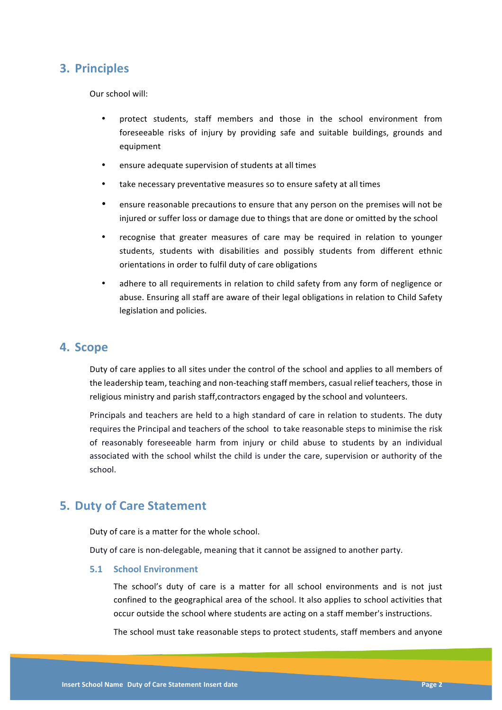# **3. Principles**

Our school will:

- protect students, staff members and those in the school environment from foreseeable risks of injury by providing safe and suitable buildings, grounds and equipment
- ensure adequate supervision of students at all times
- take necessary preventative measures so to ensure safety at all times
- ensure reasonable precautions to ensure that any person on the premises will not be injured or suffer loss or damage due to things that are done or omitted by the school
- recognise that greater measures of care may be required in relation to younger students, students with disabilities and possibly students from different ethnic orientations in order to fulfil duty of care obligations
- adhere to all requirements in relation to child safety from any form of negligence or abuse. Ensuring all staff are aware of their legal obligations in relation to Child Safety legislation and policies.

## **4. Scope**

Duty of care applies to all sites under the control of the school and applies to all members of the leadership team, teaching and non-teaching staff members, casual relief teachers, those in religious ministry and parish staff,contractors engaged by the school and volunteers.

Principals and teachers are held to a high standard of care in relation to students. The duty requires the Principal and teachers of the school to take reasonable steps to minimise the risk of reasonably foreseeable harm from injury or child abuse to students by an individual associated with the school whilst the child is under the care, supervision or authority of the school.

# **5. Duty of Care Statement**

Duty of care is a matter for the whole school.

Duty of care is non-delegable, meaning that it cannot be assigned to another party.

### **5.1 School Environment**

The school's duty of care is a matter for all school environments and is not just confined to the geographical area of the school. It also applies to school activities that occur outside the school where students are acting on a staff member's instructions.

The school must take reasonable steps to protect students, staff members and anyone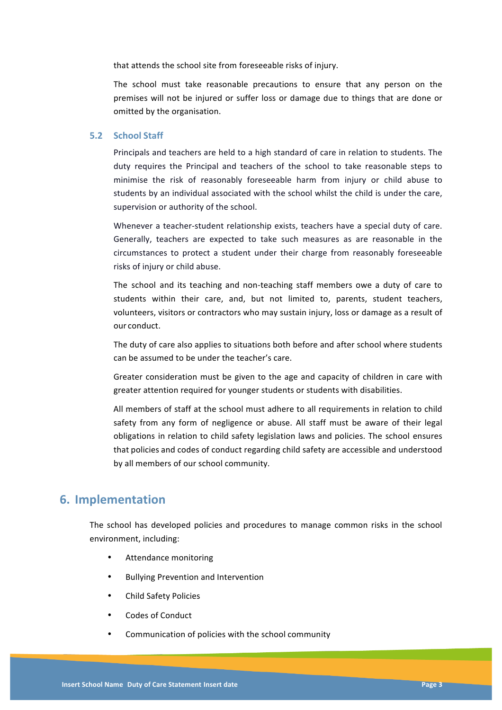that attends the school site from foreseeable risks of injury.

The school must take reasonable precautions to ensure that any person on the premises will not be injured or suffer loss or damage due to things that are done or omitted by the organisation.

#### **5.2 School Staff**

Principals and teachers are held to a high standard of care in relation to students. The duty requires the Principal and teachers of the school to take reasonable steps to minimise the risk of reasonably foreseeable harm from injury or child abuse to students by an individual associated with the school whilst the child is under the care, supervision or authority of the school.

Whenever a teacher-student relationship exists, teachers have a special duty of care. Generally, teachers are expected to take such measures as are reasonable in the circumstances to protect a student under their charge from reasonably foreseeable risks of injury or child abuse.

The school and its teaching and non-teaching staff members owe a duty of care to students within their care, and, but not limited to, parents, student teachers, volunteers, visitors or contractors who may sustain injury, loss or damage as a result of our conduct.

The duty of care also applies to situations both before and after school where students can be assumed to be under the teacher's care.

Greater consideration must be given to the age and capacity of children in care with greater attention required for younger students or students with disabilities.

All members of staff at the school must adhere to all requirements in relation to child safety from any form of negligence or abuse. All staff must be aware of their legal obligations in relation to child safety legislation laws and policies. The school ensures that policies and codes of conduct regarding child safety are accessible and understood by all members of our school community.

# **6. Implementation**

The school has developed policies and procedures to manage common risks in the school environment, including:

- Attendance monitoring
- **Bullying Prevention and Intervention**
- Child Safety Policies
- Codes of Conduct
- Communication of policies with the school community